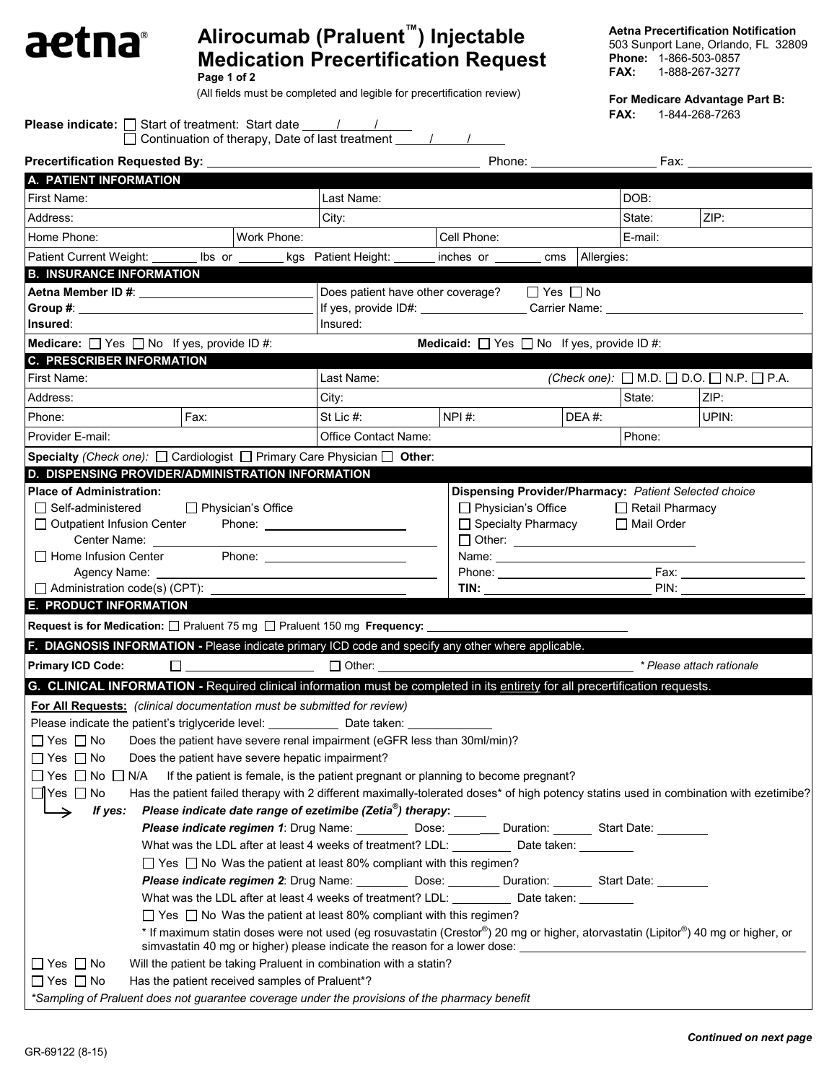## **Alirocumab (Praluent™) Injectable**  aetna® **Medication Precertification Request**

**Page 1 of 2**

(All fields must be completed and legible for precertification review)

**Aetna Precertification Notification**

503 Sunport Lane, Orlando, FL 32809 **Phone:** 1-866-503-0857<br>**FAX:** 1-888-267-3277 **FAX:** 1-888-267-3277

**For Medicare Advantage Part B:**

**FAX:** 1-844-268-7263

| <b>Please indicate:</b> $\Box$ Start of treatment: Start date $\Box$                                                                                                                                                           |                                                  | □ Continuation of therapy, Date of last treatment <u>V</u>                                                                                                                                                                               |                                                                                  |                                                                                             |                                        | 1-044-200-7200                                               |
|--------------------------------------------------------------------------------------------------------------------------------------------------------------------------------------------------------------------------------|--------------------------------------------------|------------------------------------------------------------------------------------------------------------------------------------------------------------------------------------------------------------------------------------------|----------------------------------------------------------------------------------|---------------------------------------------------------------------------------------------|----------------------------------------|--------------------------------------------------------------|
|                                                                                                                                                                                                                                |                                                  |                                                                                                                                                                                                                                          |                                                                                  |                                                                                             |                                        |                                                              |
| Precertification Requested By: __________                                                                                                                                                                                      |                                                  |                                                                                                                                                                                                                                          |                                                                                  | Phone: <u>______________</u>                                                                |                                        | Fax: The control                                             |
| A. PATIENT INFORMATION                                                                                                                                                                                                         |                                                  |                                                                                                                                                                                                                                          |                                                                                  |                                                                                             |                                        |                                                              |
| First Name:                                                                                                                                                                                                                    |                                                  | Last Name:                                                                                                                                                                                                                               |                                                                                  |                                                                                             | DOB:                                   |                                                              |
| Address:                                                                                                                                                                                                                       |                                                  | City:                                                                                                                                                                                                                                    |                                                                                  |                                                                                             | State:                                 | ZIP:                                                         |
| Home Phone:                                                                                                                                                                                                                    | Work Phone:                                      |                                                                                                                                                                                                                                          | Cell Phone:                                                                      |                                                                                             | E-mail:                                |                                                              |
| Patient Current Weight: _______ lbs or ______                                                                                                                                                                                  |                                                  | kgs Patient Height: ______                                                                                                                                                                                                               | inches or cms                                                                    | Allergies:                                                                                  |                                        |                                                              |
| <b>B. INSURANCE INFORMATION</b>                                                                                                                                                                                                |                                                  |                                                                                                                                                                                                                                          |                                                                                  |                                                                                             |                                        |                                                              |
|                                                                                                                                                                                                                                |                                                  |                                                                                                                                                                                                                                          | Does patient have other coverage? $\Box$ Yes $\Box$ No                           |                                                                                             |                                        |                                                              |
| Group #: the contract of the contract of the contract of the contract of the contract of the contract of the contract of the contract of the contract of the contract of the contract of the contract of the contract of the c |                                                  | Insured:                                                                                                                                                                                                                                 | If yes, provide ID#: _____________________Carrier Name: ________________________ |                                                                                             |                                        |                                                              |
| Insured:                                                                                                                                                                                                                       |                                                  |                                                                                                                                                                                                                                          |                                                                                  |                                                                                             |                                        |                                                              |
| <b>Medicare:</b> $\Box$ Yes $\Box$ No If yes, provide ID #:                                                                                                                                                                    |                                                  |                                                                                                                                                                                                                                          |                                                                                  | <b>Medicaid:</b> $\Box$ Yes $\Box$ No If yes, provide ID #:                                 |                                        |                                                              |
| <b>C. PRESCRIBER INFORMATION</b>                                                                                                                                                                                               |                                                  |                                                                                                                                                                                                                                          |                                                                                  |                                                                                             |                                        |                                                              |
| First Name:                                                                                                                                                                                                                    |                                                  | Last Name:                                                                                                                                                                                                                               |                                                                                  |                                                                                             |                                        | (Check one): $\Box$ M.D. $\Box$ D.O. $\Box$ N.P. $\Box$ P.A. |
| Address:                                                                                                                                                                                                                       |                                                  | City:                                                                                                                                                                                                                                    |                                                                                  |                                                                                             | State:                                 | ZIP:                                                         |
| Phone:                                                                                                                                                                                                                         | Fax:                                             | St Lic #:                                                                                                                                                                                                                                | NPI #:                                                                           | $DEA#$ :                                                                                    |                                        | UPIN:                                                        |
| Provider E-mail:                                                                                                                                                                                                               |                                                  | Office Contact Name:                                                                                                                                                                                                                     |                                                                                  |                                                                                             | Phone:                                 |                                                              |
| Specialty (Check one): $\Box$ Cardiologist $\Box$ Primary Care Physician $\Box$ Other:                                                                                                                                         |                                                  |                                                                                                                                                                                                                                          |                                                                                  |                                                                                             |                                        |                                                              |
| D. DISPENSING PROVIDER/ADMINISTRATION INFORMATION                                                                                                                                                                              |                                                  |                                                                                                                                                                                                                                          |                                                                                  | Dispensing Provider/Pharmacy: Patient Selected choice                                       |                                        |                                                              |
| $\Box$ Self-administered<br>□ Outpatient Infusion Center<br>Center Name:<br>$\Box$ Home Infusion Center                                                                                                                        | □ Physician's Office                             |                                                                                                                                                                                                                                          |                                                                                  | $\Box$ Physician's Office<br>□ Specialty Pharmacy<br>□ Other: <u>______________________</u> | $\Box$ Retail Pharmacy<br>□ Mail Order |                                                              |
| Agency Name: _____                                                                                                                                                                                                             |                                                  |                                                                                                                                                                                                                                          |                                                                                  |                                                                                             |                                        |                                                              |
| Administration code(s) (CPT):                                                                                                                                                                                                  |                                                  |                                                                                                                                                                                                                                          |                                                                                  | TIN: TIN: TIN: TIN                                                                          |                                        | PIN:                                                         |
| E. PRODUCT INFORMATION                                                                                                                                                                                                         |                                                  |                                                                                                                                                                                                                                          |                                                                                  |                                                                                             |                                        |                                                              |
| Request is for Medication: □ Praluent 75 mg □ Praluent 150 mg Frequency:                                                                                                                                                       |                                                  |                                                                                                                                                                                                                                          |                                                                                  |                                                                                             |                                        |                                                              |
| F. DIAGNOSIS INFORMATION - Please indicate primary ICD code and specify any other where applicable.                                                                                                                            |                                                  |                                                                                                                                                                                                                                          |                                                                                  |                                                                                             |                                        |                                                              |
| <b>Primary ICD Code:</b>                                                                                                                                                                                                       | $\Box$ and $\Box$ and $\Box$ and $\Box$          | $\Box$ Other:                                                                                                                                                                                                                            |                                                                                  |                                                                                             |                                        | * Please attach rationale                                    |
| G. CLINICAL INFORMATION - Required clinical information must be completed in its entirety for all precertification requests.                                                                                                   |                                                  |                                                                                                                                                                                                                                          |                                                                                  |                                                                                             |                                        |                                                              |
| For All Requests: (clinical documentation must be submitted for review)                                                                                                                                                        |                                                  |                                                                                                                                                                                                                                          |                                                                                  |                                                                                             |                                        |                                                              |
| Please indicate the patient's triglyceride level: ___________                                                                                                                                                                  |                                                  | Date taken:                                                                                                                                                                                                                              |                                                                                  |                                                                                             |                                        |                                                              |
| $\Box$ Yes $\Box$ No                                                                                                                                                                                                           |                                                  | Does the patient have severe renal impairment (eGFR less than 30ml/min)?                                                                                                                                                                 |                                                                                  |                                                                                             |                                        |                                                              |
| $\Box$ Yes $\Box$ No                                                                                                                                                                                                           | Does the patient have severe hepatic impairment? |                                                                                                                                                                                                                                          |                                                                                  |                                                                                             |                                        |                                                              |
| $\Box$ Yes $\Box$ No $\Box$<br>N/A                                                                                                                                                                                             |                                                  | If the patient is female, is the patient pregnant or planning to become pregnant?                                                                                                                                                        |                                                                                  |                                                                                             |                                        |                                                              |
| $\Box$ Yes $\Box$ No                                                                                                                                                                                                           |                                                  | Has the patient failed therapy with 2 different maximally-tolerated doses* of high potency statins used in combination with ezetimibe?                                                                                                   |                                                                                  |                                                                                             |                                        |                                                              |
| If yes:                                                                                                                                                                                                                        |                                                  | Please indicate date range of ezetimibe (Zetia $^{\circledast}$ ) therapy: _____                                                                                                                                                         |                                                                                  |                                                                                             |                                        |                                                              |
|                                                                                                                                                                                                                                |                                                  | Please indicate regimen 1: Drug Name: ___________ Dose: _________ Duration: _______ Start Date: ________                                                                                                                                 |                                                                                  |                                                                                             |                                        |                                                              |
|                                                                                                                                                                                                                                |                                                  | What was the LDL after at least 4 weeks of treatment? LDL: ___________ Date taken: ________                                                                                                                                              |                                                                                  |                                                                                             |                                        |                                                              |
|                                                                                                                                                                                                                                |                                                  | $\Box$ Yes $\Box$ No Was the patient at least 80% compliant with this regimen?                                                                                                                                                           |                                                                                  |                                                                                             |                                        |                                                              |
|                                                                                                                                                                                                                                |                                                  | Please indicate regimen 2: Drug Name: ____________ Dose: __________ Duration: ________ Start Date: _________                                                                                                                             |                                                                                  |                                                                                             |                                        |                                                              |
|                                                                                                                                                                                                                                |                                                  | What was the LDL after at least 4 weeks of treatment? LDL: ___________ Date taken: _________                                                                                                                                             |                                                                                  |                                                                                             |                                        |                                                              |
|                                                                                                                                                                                                                                |                                                  | $\Box$ Yes $\Box$ No Was the patient at least 80% compliant with this regimen?                                                                                                                                                           |                                                                                  |                                                                                             |                                        |                                                              |
|                                                                                                                                                                                                                                |                                                  | * If maximum statin doses were not used (eg rosuvastatin (Crestor®) 20 mg or higher, atorvastatin (Lipitor®) 40 mg or higher, or<br>simvastatin 40 mg or higher) please indicate the reason for a lower dose: __________________________ |                                                                                  |                                                                                             |                                        |                                                              |
| $\Box$ Yes $\Box$ No                                                                                                                                                                                                           |                                                  | Will the patient be taking Praluent in combination with a statin?                                                                                                                                                                        |                                                                                  |                                                                                             |                                        |                                                              |
| $\Box$ Yes $\Box$ No                                                                                                                                                                                                           | Has the patient received samples of Praluent*?   |                                                                                                                                                                                                                                          |                                                                                  |                                                                                             |                                        |                                                              |